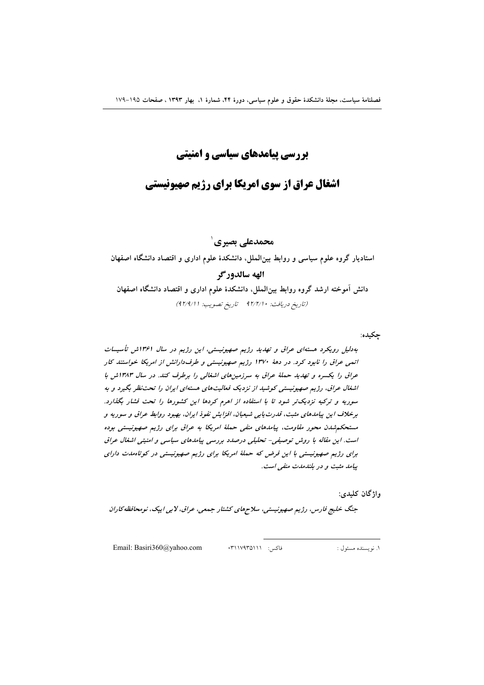بررسی پیامدهای سیاسی و امنیتی

# **اشغال عراق از سوی امریکا برای رژیم صهیونیستی**

محمدعلي بصيري`

استادیار گروه علوم سیاسی و روابط بین الملل. دانشکدهٔ علوم اداری و اقتصاد دانشگاه اصفهان الهه سالدوركر دانش آموخته ارشد گروه روابط بین(لملل، دانشکدهٔ علوم اداری و اقتصاد دانشگاه اصفهان (تاريخ دريافت: ٩٢/٢/١٠ تاريخ تصويب: ٩٢/٩/١)

چکیده:

به دلیل رویکرد هسته ای عراق و تهدید رژیم صهیونیستی، این رژیم در سال ۱۳۶۱ش تأسیسات انعی عراق را نابود کرد. در دههٔ ۱۳۷۰ رژیم صهیونیستی و طرف(ارانش از امریکا خواستند کار عراق را یکسره و تهدید حملهٔ عراق به سرزمینهای اشغالی را برطرف کند. در سال ۱۳۸۳ش با اشغال عراق، رژیم صهیونیستی کوشید از نزدیک فعالیتهای هستهای ایران را تحت نظر بگیرد و به سوریه و ترکیه نزدیکتر شود تا با استفاده از اهرم کردها این کشورها را تحت فشار بگذارد. برخلاف این پیامدهای مثبت، قدرت پایی شیعیان، افزایش نفوذ ایران، بهبود روابط عراق و سوریه و مستحکم شدن محور مقاومت، پیامدهای منفی حملهٔ امریکا به عراق برای رژیم صهیونیستی بوده است. این مقاله با روش توصیفی- تحلیلی درصدد بررسی پیامدهای سیاسی و امنیتی اشغال عراق برای رژیم صهیونیستی با این فرض که حملهٔ امریکا برای رژیم صهیونیستی در کوتاهلدت دارای ییامد مثبت و در بلندمدت منفی است.

واژگان كليدي:

جنگ خلیج فارس، رژیم صهیونیستی، سلاحهای کشتار جمعی، عراق، لابی ایپک، نومحافظه کاران

Email: Basiri360@yahoo.com

فاكس: ١١٧٩٣٥١١١٠

١. ﻧﻮﻳﺴﻨﺪﻩ ﻣﺴﺌﻮﻝ :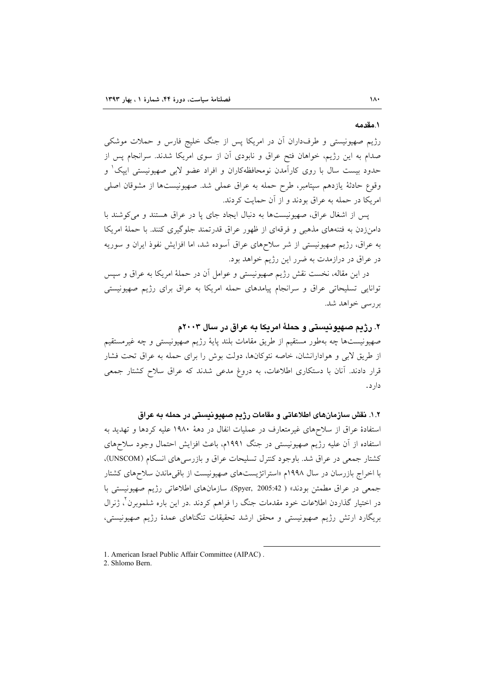#### ١.مقدمه

رژیم صهیونیستی و طرفداران آن در امریکا پس از جنگ خلیج فارس و حملات موشکی صدام به این رژیم، خواهان فتح عراق و نابودی آن از سوی امریکا شدند. سرانجام پس از حدود بیست سال با روی کارآمدن نومحافظهکاران و افراد عضو لابی صهیونیستی ایپک و وقوع حادثهٔ یازدهم سپتامبر، طرح حمله به عراق عملی شد. صهیونیستها از مشوقان اصلی امریکا در حمله به عراق بودند و از آن حمایت کردند.

پس از اشغال عراق، صهیونیستها به دنبال ایجاد جای یا در عراق هستند و میکوشند با دامنزدن به فتنههای مذهبی و فرقهای از ظهور عراق قدرتمند جلوگیری کنند. با حملهٔ امریکا به عراق، رژیم صهیونیستی از شر سلاحهای عراق آسوده شد، اما افزایش نفوذ ایران و سوریه در عراق در درازمدت به ضرر این رژیم خواهد بود.

در این مقاله، نخست نقش رژیم صهیونیستی و عوامل آن در حملهٔ امریکا به عراق و سپس توانایی تسلیحاتی عراق و سرانجام پیامدهای حمله امریکا به عراق برای رژیم صهیونیستی بررسے خواهد شد.

# ۲. رژیم صهیونیستی و حملهٔ امریکا به عراق در سال ۲۰۰۳م

صهیونیستها چه بهطور مستقیم از طریق مقامات بلند پایهٔ رژیم صهیونیستی و چه غیرمستقیم از طریق لابی و هوادارانشان، خاصه نئوکانها، دولت بوش را برای حمله به عراق تحت فشار قرار دادند. آنان با دستکاری اطلاعات، به دروغ مدعی شدند که عراق سلاح کشتار جمعی دار د .

## ١.٢. نقش سازمانهای اطلاعاتی و مقامات رژیم صهیونیستی در حمله به عراق

استفادهٔ عراق از سلاحهای غیرمتعارف در عملیات انفال در دههٔ ۱۹۸۰ علیه کردها و تهدید به استفاده از آن علیه رژیم صهیونیستی در جنگ ۱۹۹۱م، باعث افزایش احتمال وجود سلاحهای کشتار جمعی در عراق شد. باوجود کنترل تسلیحات عراق و بازرسی های انسکام (UNSCOM)، با اخراج بازرسان در سال ۱۹۹۸م «استراتژیستهای صهیونیست از باقی ماندن سلاحهای کشتار جمعي در عراق مطمئن بودند» ( Spyer, 2005:42). سازمانهاي اطلاعاتي رژيم صهيونيستي با در اختیار گذاردن اطلاعات خود مقدمات جنگ را فراهم کردند .در این باره شلموبرن ٌ، ژنرال بریگارد ارتش رژیم صهیونیستی و محقق ارشد تحقیقات تنگناهای عمدهٔ رژیم صهیونیستی،

2. Shlomo Bern

<sup>1.</sup> American Israel Public Affair Committee (AIPAC).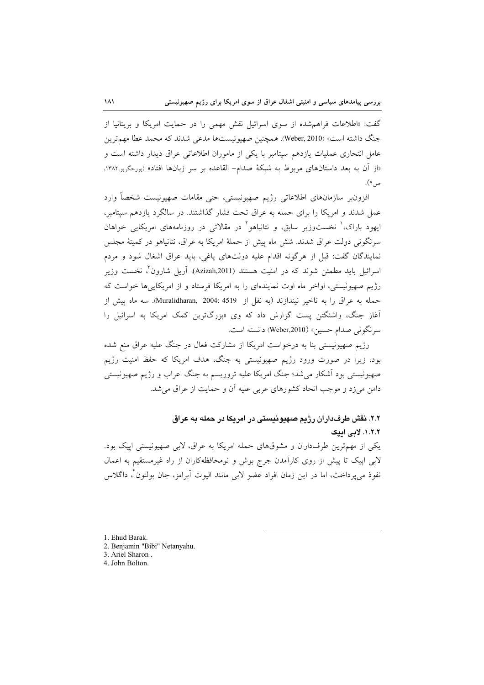گفت: «اطلاعات فراهمشده از سوی اسرائیل نقش مهمی را در حمایت امریکا و بریتانیا از جنگ داشته است» (Weber, 2010). همچنین صهیونیستها مدعی شدند که محمد عطا مهمترین عامل انتحاری عملیات یازدهم سپتامبر با یکی از ماموران اطلاعاتی عراق دیدار داشته است و «از آن به بعد داستانهای مربوط به شبکهٔ صدام- القاعده بر سر زبانها افتاد» (بورجگریه،۱۳۸۲، ص۴).

افزون بر سازمانهای اطلاعاتی رژیم صهیونیستی، حتی مقامات صهیونیست شخصاً وارد عمل شدند و امریکا را برای حمله به عراق تحت فشار گذاشتند. در سالگرد یازدهم سپتامبر، ایهود باراک، ٰ نخستوزیر سابق، و نتانیاهو ٔ در مقالاتی در روزنامههای امریکایی خواهان سرنگونی دولت عراق شدند. شش ماه پیش از حملهٔ امریکا به عراق، نتانیاهو در کمیتهٔ مجلس نمایندگان گفت: قبل از هرگونه اقدام علیه دولتهای یاغی، باید عراق اشغال شود و مردم اسرائیل باید مطمئن شوند که در امنیت هستند (Azizah,2011). آریل شارون ٌ، نخست وزیر رژیم صهیونیستی، اواخر ماه اوت نمایندهای را به امریکا فرستاد و از امریکاییها خواست که حمله به عراق را به تاخیر نیندازند (به نقل از Muralidharan, 2004: 4519). سه ماه پیش از آغاز جنگ، واشنگتن پست گزارش داد که وی «بزرگترین کمک امریکا به اسرائیل را سرنگونی صدام حسین» (Weber,2010) دانسته است.

رژیم صهیونیستی بنا به درخواست امریکا از مشارکت فعال در جنگ علیه عراق منع شده بود، زیرا در صورت ورود رژیم صهیونیستی به جنگ، هدف امریکا که حفظ امنیت رژیم صهیونیستی بود آشکار میشد؛ جنگ امریکا علیه تروریسم به جنگ اعراب و رژیم صهیونیستی دامن می(د و موجب اتحاد کشورهای عربی علیه آن و حمایت از عراق می شد.

۲.۲. نقش طرفداران رژیم صهیونیستی در امریکا در حمله به عراق ٠.٢.٢. لامي اميک یکی از مهمترین طرفداران و مشوقهای حمله امریکا به عراق، لابی صهیونیستی اپیک بود. لابی اپیک تا پیش از روی کارآمدن جرج بوش و نومحافظهکاران از راه غیرمستقیم به اعمال

نفوذ مي پرداخت، اما در اين زمان افراد عضو لابي مانند اليوت اّبرامز، جان بولتون ّ، داگلاس

- 1. Ehud Barak.
- 2. Benjamin "Bibi" Netanyahu.
- 3. Ariel Sharon.
- 4. John Bolton.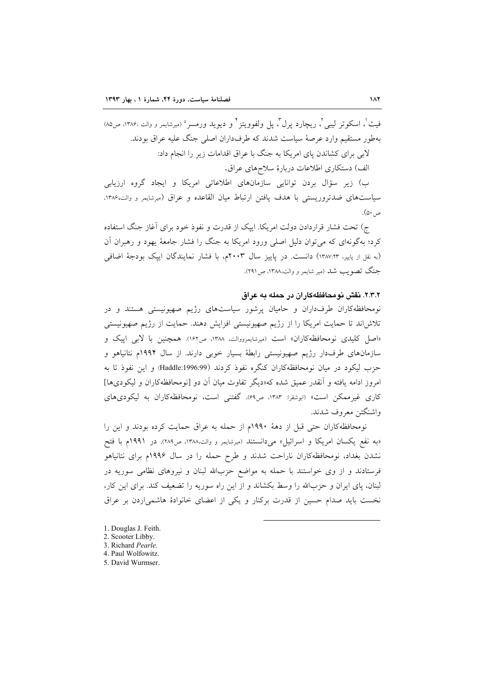فيث'، اسكوتر ليبي'، ريجارد يرل''، يل ولفوويتز'' و ديويد ورمسر ° (ميرشايمر و والت ١٣٨۶، ص٥٨) بهطور مستقیم وارد عرصهٔ سیاست شدند که طرفداران اصلی جنگ علیه عراق بودند. لابی برای کشاندن پای امریکا به جنگ با عراق اقدامات زیر را انجام داد:

الف) دستکاری اطلاعات دربارهٔ سلاحهای عراق.

ب) زیر سؤال بردن توانایی سازمانهای اطلاعاتی امریکا و ایجاد گروه ارزیابی سیاستهای ضدتروریستی با هدف یافتن ارتباط میان القاعده و عراق (میرشایمر و والت،۱۳۸۶. ص ۵۰).

ج) تحت فشار قراردادن دولت امريكا. اييك از قدرت و نفوذ خود براي آغاز جنگ استفاده کرد؛ بهگونهای که می توان دلیل اصلی ورود امریکا به جنگ را فشار جامعهٔ یهود و رهبران اَن (به نقل از پایپر، ١٣٨٧:٣٣) دانست. در پاییز سال ٢٠٠٣م، با فشار نمایندگان ایپک بودجهٔ اضافی جنگ تصویب شد (میر شایمر و والت،۱۳۸۸، ص۲۹۱).

### ۲.۳.۲. نقش نومحافظهکاران در حمله به عراق

نومحافظه کاران طرفداران و حامیان پرشور سیاستهای رژیم صهیونیستی هستند و در تلاش اند تا حمایت امریکا را از رژیم صهیونیستی افزایش دهند. حمایت از رژیم صهیونیستی «اصل کلیدی نومحافظهکاران» است (میرشایمرووالت، ۱۳۸۸، ص۱۶۲). همچنین با لابی اپیک و سازمانهای طرفدار رژیم صهیونیستی رابطهٔ بسیار خوبی دارند. از سال ۱۹۹۴م نتانیاهو و حزب ليكود در ميان نومحافظهكاران كنگره نفوذ كردند (Haddle:1996:99) و اين نفوذ تا به امروز ادامه یافته و آنقدر عمیق شده که«دیگر تفاوت میان آن دو [نومحافظهکاران و لیکودیها] کاری غیرممکن است» (ابوشقرا: ۱۳۸۳، ص۶۹). گفتنی است، نومحافظهکاران به لیکودیهای واشنگتن معروف شدند.

نومحافظه كاران حتى قبل از دههٔ ١٩٩٠م از حمله به عراق حمايت كرده بودند و اين را «به نفع یکسان امریکا و اسرائیل» میدانستند (میرشایمر و والت،۱۳۸۸، ص۲۸۹). در ۱۹۹۱م با فتح نشدن بغداد، نومحافظهکاران ناراحت شدند و طرح حمله را در سال ۱۹۹۶م برای نتانیاهو فرستادند و از وی خواستند با حمله به مواضع حزبالله لبنان و نیروهای نظامی سوریه در لبنان، پای ایران و حزبالله را وسط بکشاند و از این راه سوریه را تضعیف کند. برای این کار، نخست باید صدام حسین از قدرت برکنار و یکی از اعضای خانوادهٔ هاشمیاردن بر عراق

- 1. Douglas J. Feith.
- 2. Scooter Libby.
- 3. Richard Pearle. 4. Paul Wolfowitz.
- 5. David Wurmser.
-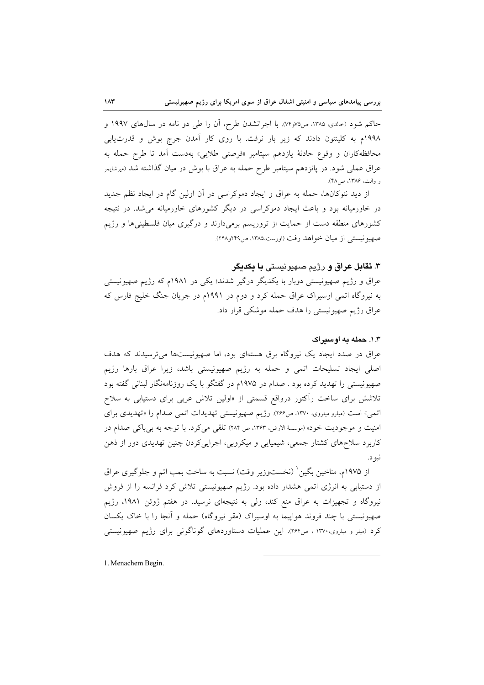حاکم شود (حالدی، ۱۳۸۵، ص۷۶٫۷۵). با اجرانشدن طرح، اَن را طی دو نامه در سال@ای ۱۹۹۷ و ۱۹۹۸م به کلینتون دادند که زیر بار نرفت. با روی کار آمدن جرج بوش و قدرتLیابی محافظهکاران و وقوع حادثهٔ یازدهم سپتامبر «فرصتی طلایی» بهدست آمد تا طرح حمله به عراق عملی شود. در پانزدهم سپتامبر طرح حمله به عراق با بوش در میان گذاشته شد (میرشایمر و والت، ۱۳۸۶، ص۱۴۸.

از دید نئوکانها، حمله به عراق و ایجاد دموکراسی در آن اولین گام در ایجاد نظم جدید در خاورمیانه بود و باعث ایجاد دموکراسی در دیگر کشورهای خاورمیانه می شد. در نتیجه کشورهای منطقه دست از حمایت از تروریسم برمیدارند و درگیری میان فلسطینیها و رژیم صهيونيستي از ميان خواهد رفت (اورست،١٣٨٥، ص٢٢٩و٢٢٨).

## ۳. تقابل عراق و رژيم صهيونيستي با يکديگر

عراق و رژیم صهیونیستی دوبار با یکدیگر درگیر شدند؛ یکی در ۱۹۸۱م که رژیم صهیونیستی به نیروگاه اتمی اوسیراک عراق حمله کرد و دوم در ۱۹۹۱م در جریان جنگ خلیج فارس که عراق رژیم صهیونیستی را هدف حمله موشکی قرار داد.

#### ۰.۳. حمله په اوستراک

عراق در صدد ایجاد یک نیروگاه برق هستهای بود، اما صهیونیستها میترسیدند که هدف اصلی ایجاد تسلیحات اتمی و حمله به رژیم صهیونیستی باشد، زیرا عراق بارها رژیم صهیونیستی را تهدید کرده بود . صدام در ۱۹۷۵م در گفتگو با یک روزنامهنگار لبنانی گفته بود تلاشش برای ساخت رآکتور درواقع قسمتی از «اولین تلاش عربی برای دستیابی به سلاح اتمی» است (میلرو میلروی، ۱۳۷۰، ص۲۶۶). رژیم صهیونیستی تهدیدات اتمی صدام را «تهدیدی برای امنیت و موجودیت خود» (موسسهٔ الارض، ۱۳۶۳، ص ۲۸۴) تلقی می کرد. با توجه به بی باکی صدام در کاربرد سلاحهای کشتار جمعی، شیمیایی و میکروبی، اجرایی کردن چنین تهدیدی دور از ذهن نبو د.

از ۱۹۷۵م، مناخین بگین ٰ (نخستوزیر وقت) نسبت به ساخت بمب اتم و جلوگیری عراق از دستیابی به انرژی اتمی هشدار داده بود. رژیم صهیونیستی تلاش کرد فرانسه را از فروش نیروگاه و تجهیزات به عراق منع کند، ولی به نتیجهای نرسید. در هفتم ژوئن ۱۹۸۱، رژیم صهیونیستی با چند فروند هواپیما به اوسیراک (مقر نیروگاه) حمله و آنجا را با خاک یکسان کرد (میلر و میلروی،۱۳۷۰ ، ص۲۶۴). این عملیات دستاوردهای گوناگونی برای رژیم صهیونیستی

1. Menachem Begin.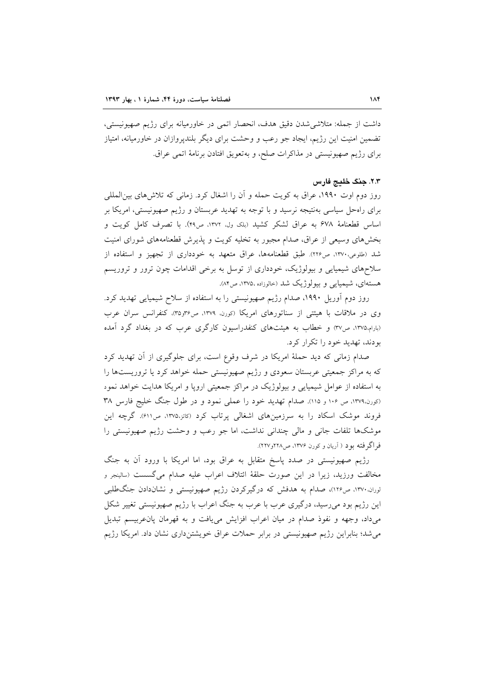داشت از جمله: متلاشی شدن دقیق هدف، انحصار اتمی در خاورمیانه برای رژیم صهیونیستی، تضمین امنیت این رژیم، ایجاد جو رعب و وحشت برای دیگر بلندپروازان در خاورمیانه، امتیاز براي رژيم صهيونيستي در مذاكرات صلح، و بهتعويق افتادن برنامهٔ اتمي عراق.

## ٢.٣. جنگ خليج فارس

روز دوم اوت ۱۹۹۰، عراق به کویت حمله و آن را اشغال کرد. زمانی که تلاش های بینالمللی برای راهحل سیاسی بهنتیجه نرسید و با توجه به تهدید عربستان و رژیم صهیونیستی، امریکا بر اساس قطعنامهٔ ۶۷۸ به عراق لشکر کشید (بلک ول. ۱۳۷۲، ص۴۹). با تصرف کامل کویت و بخشهای وسیعی از عراق، صدام مجبور به تخلیه کویت و پذیرش قطعنامههای شورای امنیت شد (طلوعی،۱۳۷۰، ص۲۲۶). طبق قطعنامهها، عراق متعهد به خودداری از تجهیز و استفاده از سلاحهای شیمیایی و بیولوژیک، خودداری از توسل به برخی اقدامات چون ترور و تروریسم هستهای، شیمیایی و بیولوژیک شد (خالوزاده ۱۳۷۵، ص۸۴).

روز دوم آوریل ۱۹۹۰، صدام رژیم صهیونیستی را به استفاده از سلاح شیمیایی تهدید کرد. وی در ملاقات با هیئتی از سناتورهای امریکا (کورن ۱۳۷۹، ص۳۶و۳۵). کنفرانس سران عرب (بارام،۱۳۷۵، ص۳۷) و خطاب به هیئتهای کنفدراسیون کارگری عرب که در بغداد گرد آمده بودند، تهدید خود را تکرار کرد.

صدام زمانی که دید حملهٔ امریکا در شرف وقوع است، برای جلوگیری از آن تهدید کرد که به مراکز جمعیتی عربستان سعودی و رژیم صهیونیستی حمله خواهد کرد یا تروریستها را به استفاده از عوامل شیمیایی و بیولوژیک در مراکز جمعیتی اروپا و امریکا هدایت خواهد نمود (کورن،١٣٧٩، ص ١٠۶ و ١١٥). صدام تهديد خود را عملي نمود و در طول جنگ خليج فارس ٣٨ فروند موشک اسکاد را به سرزمینهای اشغالی پرتاب کرد (کاتز،۱۳۷۵، ص۶۱۱). گرچه این موشکها تلفات جانی و مالی چندانی نداشت، اما جو رعب و وحشت رژیم صهیونیستی را فر اگر فته بو د ( اَریان و کورن ۱۳۷۶، ص۲۲۸و۲۲۷).

رژیم صهیونیستی در صدد پاسخ متقابل به عراق بود، اما امریکا با ورود أن به جنگ مخالفت ورزيد، زيرا در اين صورت حلقهٔ ائتلاف اعراب عليه صدام مي گسست (سالينجر و لوران.۱۳۷۰، ص۱۲۶)، صدام به هدفش که درگیرکردن رژیم صهیونیستمی و نشاندادن جنگطلبی این رژیم بود میرسید، درگیری عرب با عرب به جنگ اعراب با رژیم صهیونیستی تغییر شکل می،داد، وجهه و نفوذ صدام در میان اعراب افزایش می،یافت و به قهرمان پانءربیسم تبدیل می شد؛ بنابراین رژیم صهیونیستی در برابر حملات عراق خویشتنداری نشان داد. امریکا رژیم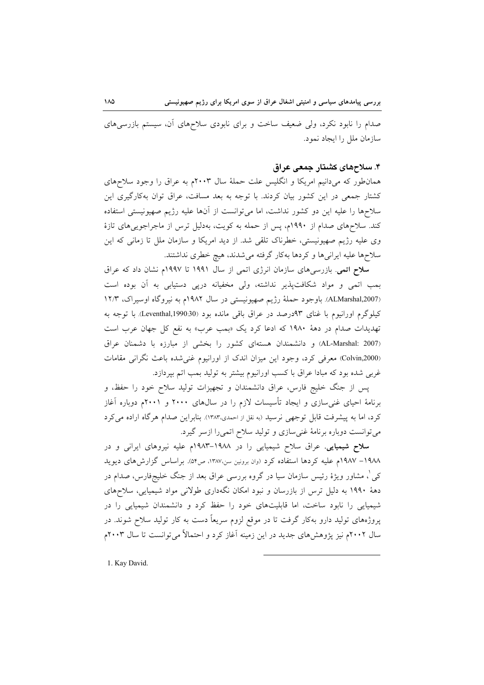صدام را نابود نکرد، ولی ضعیف ساخت و برای نابودی سلاحهای آن، سیستم بازرسیهای سازمان ملل را ایجاد نمود.

## ۴. سلاحهای کشتار جمعی عراق

همان طور که میدانیم امریکا و انگلیس علت حملهٔ سال ۲۰۰۳م به عراق را وجود سلاحهای کشتار جمعی در این کشور بیان کردند. با توجه به بعد مسافت، عراق توان بهکارگیری این سلاحها را علیه این دو کشور نداشت، اما میتوانست از آنها علیه رژیم صهیونیستی استفاده کند. سلاحهای صدام از ۱۹۹۰م، پس از حمله به کویت، بهدلیل ترس از ماجراجوییهای تازهٔ وی علیه رژیم صهیونیستی، خطرناک تلقی شد. از دید امریکا و سازمان ملل تا زمانی که این سلاحها عليه ايرانيها و كردها بهكار گرفته مي شدند، هيچ خطري نداشتند.

سلاح اتمی. بازرسیهای سازمان انرژی اتمی از سال ۱۹۹۱ تا ۱۹۹۷م نشان داد که عراق بمب اتمی و مواد شکافتپذیر نداشته، ولی مخفیانه درپی دستیابی به آن بوده است (ALMarshal,2007). باوجود حملة رژيم صهيونيستي در سال ١٩٨٢م به نيروكاه اوسيراك، ١٢/٣ کیلوگرم اورانیوم با غنای ۹۳درصد در عراق باقی مانده بود (Leventhal,1990:30). با توجه به تهدیدات صدام در دههٔ ۱۹۸۰ که ادعا کرد یک «بمب عرب» به نفع کل جهان عرب است (AL-Marshal: 2007) و دانشمندان هستهای کشور را بخشی از مبارزه با دشمنان عراق (Colvin,2000) معرفی کرد، وجود این میزان اندک از اورانیوم غنی شده باعث نگرانی مقامات غربی شده بود که مبادا عراق با کسب اورانیوم بیشتر به تولید بمب اتم بپردازد.

پس از جنگ خلیج فارس، عراق دانشمندان و تجهیزات تولید سلاح خود را حفظ، و برنامهٔ احیای غنی $\omega$ ازی و ایجاد تأسیسات لازم را در سال $s$ ای ۲۰۰۰ و ۲۰۰۱م دوباره آغاز کرد، اما به پیشرفت قابل توجهی نرسید (به نقل از احمدی،۱۳۸۳). بنابراین صدام هرگاه اراده می کرد میتوانست دوباره برنامهٔ غنیسازی و تولید سلاح اتمیرا ازسر گیرد.

سلاح شیمیایی. عراق سلاح شیمیایی را در ۱۹۸۸–۱۹۸۳م علیه نیروهای ایرانی و در ١٩٨٨– ١٩٨٧م عليه كردها استفاده كرد (وان برونين سن،١٣٨٧، ص٥۴). براساس گزارش هاى ديويد کی ْ، مشاور ویژهٔ رئیس سازمان سیا در گروه بررسی عراق بعد از جنگ خلیجفارس، صدام در دههٔ ۱۹۹۰ به دلیل ترس از بازرسان و نبود امکان نگهداری طولانی مواد شیمیایی، سلاحهای شیمیایی را نابود ساخت، اما قابلیتهای خود را حفظ کرد و دانشمندان شیمیایی را در یروژههای تولید دارو بهکار گرفت تا در موقع لزوم سریعاً دست به کار تولید سلاح شوند. در سال ۲۰۰۲م نیز پژوهشهای جدید در این زمینه آغاز کرد و احتمالاً میتوانست تا سال ۲۰۰۳م

1. Kay David.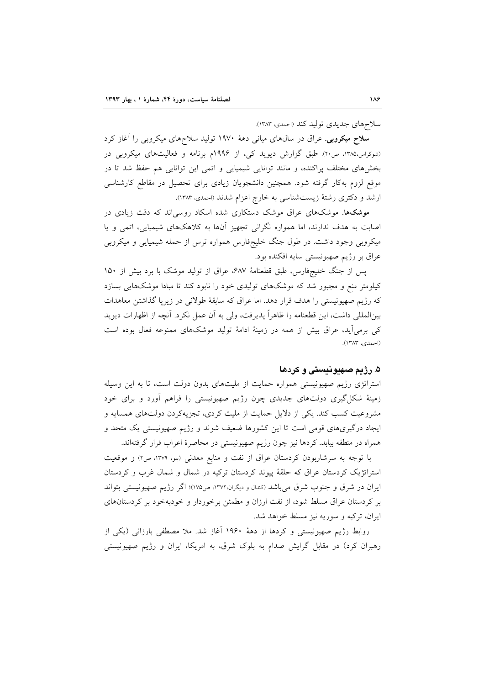سلاحهای جدیدی تولید کند (احمدی، ۱۳۸۳).

**سلاح میکروبی**. عراق در سال های میان<sub>ی</sub> دههٔ ۱۹۷۰ تولید سلاحهای میکروبی را آغاز کرد (شوکراس،۱۳۸۵، ص۲۰). طبق گزارش دیوید کی، از ۱۹۹۶م برنامه و فعالیتهای میکروبی در بخشهای مختلف پراکنده، و مانند توانایی شیمیایی و اتمی این توانایی هم حفظ شد تا در موقع لزوم بهکار گرفته شود. همچنین دانشجویان زیادی برای تحصیل در مقاطع کارشناسی ارشد و دکتری رشتهٔ زیستشناسی به خارج اعزام شدند (احمدی، ۱۳۸۳).

موشکها. موشکهای عراق موشک دستکاری شده اسکاد روسی اند که دقت زیادی در اصابت به هدف ندارند، اما همواره نگرانی تجهیز آنها به کلاهکهای شیمیایی، اتمی و یا میکروبی وجود داشت. در طول جنگ خلیجفارس همواره ترس از حمله شیمیایی و میکروبی عراق بر رژیم صهیونیستی سایه افکنده بود.

یس از جنگ خلیجفارس، طبق قطعنامهٔ ۶۸۷، عراق از تولید موشک با برد بیش از ۱۵۰ کیلومتر منع و مجبور شد که موشکهای تولیدی خود را نابود کند تا مبادا موشکهایی بسازد که رژیم صهیونیستی را هدف قرار دهد. اما عراق که سابقهٔ طولانی در زیرپا گذاشتن معاهدات بین|لمللی داشت، این قطعنامه را ظاهراً پذیرفت، ولی به آن عمل نکرد. آنچه از اظهارات دیوید کی برمی آید، عراق بیش از همه در زمینهٔ ادامهٔ تولید موشکهای ممنوعه فعال بوده است (احمدي، ١٣٨٣).

# ۵. رژیم صه**یونیستی و کردها**

استراتژی رژیم صهیونیستی همواره حمایت از ملیتهای بدون دولت است، تا به این وسیله زمینهٔ شکل گیری دولتهای جدیدی چون رژیم صهیونیستی را فراهم آورد و برای خود مشروعیت کسب کند. یکی از دلایل حمایت از ملیت کردی، تجزیهکردن دولتهای همسایه و ایجاد درگیریهای قومی است تا این کشورها ضعیف شوند و رژیم صهیونیستی یک متحد و همراه در منطقه بیابد. کردها نیز چون رژیم صهیونیستی در محاصرهٔ اعراب قرار گرفتهاند.

با توجه به سرشاربودن كردستان عراق از نفت و منابع معدنی (بلو، ١٣٧٩، ص٢) و موقعیت استراتژیک کردستان عراق که حلقهٔ پیوند کردستان ترکیه در شمال و شمال غرب و کردستان ایران در شرق و جنوب شرق می باشد (کندال و دیگران، ۱۳۷۲، ص۱۷۵)؛ اگر رژیم صهیونیستی بتواند بر کردستان عراق مسلط شود، از نفت ارزان و مطمئن برخوردار و خودبهخود بر کردستانهای ايران، تركيه و سوريه نيز مسلط خواهد شد.

روابط رژیم صهیونیستی و کردها از دههٔ ۱۹۶۰ آغاز شد. ملا مصطفی بارزانی (یکی از رهبران کرد) در مقابل گرایش صدام به بلوک شرق، به امریکا، ایران و رژیم صهیونیستی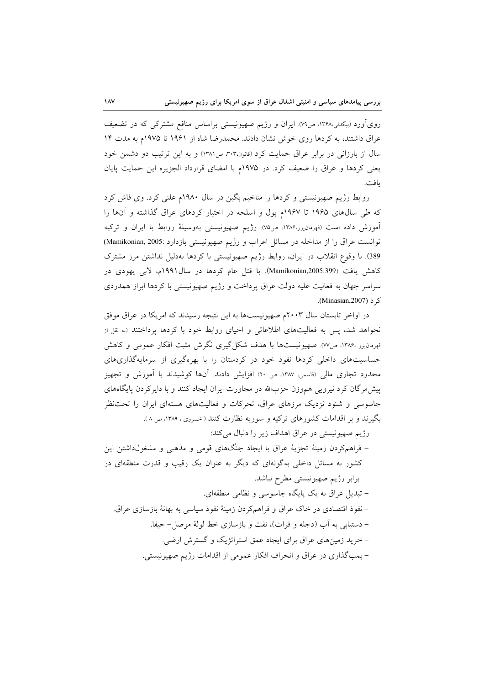رویآورد (بیگدلی،۱۳۶۸، ص۷۹). ایران و رژیم صهیونیستی براساس منافع مشترکی که در تضعیف عراق داشتند، به کردها روی خوش نشان دادند. محمدرضا شاه از ۱۹۶۱ تا ۱۹۷۵م به مدت ۱۴ سال از بارزانی در برابر عراق حمایت کرد (قانون.۳۰۳ ص۱۳۸۱) و به این ترتیب دو دشمن خود یعنی کردها و عراق را ضعیف کرد. در ۱۹۷۵م با امضای قرارداد الجزیره این حمایت پایان يافت.

روابط رژیم صهیونیستی و کردها را مناخیم بگین در سال ۱۹۸۰م علنی کرد. وی فاش کرد که طی سال های ۱۹۶۵ تا ۱۹۶۷م پول و اسلحه در اختیار کردهای عراق گذاشته و آنها را آموزش داده است (قهرمانپور،۱۳۸۶، ص۷۵). رژیم صهیونیستی بهوسیلهٔ روابط با ایران و ترکیه توانست عراق را از مداخله در مسائل اعراب و رژیم صهیونیستی بازدارد :Mamikonian, 2005) 389). با وقوع انقلاب در ايران، روابط رژيم صهيونيستي با كردها بهدليل نداشتن مرز مشترك كاهش يافت (Mamikonian,2005:399). با قتل عام كردها در سال١٩٩١م، لابي يهودي در سراسر جهان به فعالیت علیه دولت عراق پرداخت و رژیم صهیونیستی با کردها ابراز همدردی ک د (Minasian,2007).

در اواخر تابستان سال ۲۰۰۳م صهیونیستها به این نتیجه رسیدند که امریکا در عراق موفق نخواهد شد، پس به فعالیتهای اطلاعاتی و احیای روابط خود با کردها پرداختند (به نقل از قهرمانپور ۱۳۸۶. ص۷۷). صهیونیستها با هدف شکل گیری نگرش مثبت افکار عمومی و کاهش حساسیتهای داخلی کردها نفوذ خود در کردستان را با بهرهگیری از سرمایهگذاریهای محدود تجاری مالی (قاسمی، ۱۳۸۷، ص ۲۰) افزایش دادند. آنها کوشیدند با آموزش و تجهیز پیش مرگان کرد نیرویی هم وزن حزبالله در مجاورت ایران ایجاد کنند و با دایرکردن پایگاههای جاسوسی و شنود نزدیک مرزهای عراق، تحرکات و فعالیتهای هستهای ایران را تحتنظر بگیرند و بر اقدامات کشورهای ترکیه و سوریه نظارت کنند ( خسروی ، ۱۳۸۹، ص ۸ ).

رژیم صهیونیستی در عراق اهداف زیر را دنبال می کند:

– فراهمکردن زمینهٔ تجزیهٔ عراق با ایجاد جنگهای قومی و مذهبی و مشغولداشتن این کشور به مسائل داخلی بهگونهای که دیگر به عنوان یک رقیب و قدرت منطقهای در برابر رژیم صهیونیستی مطرح نباشد. – تبدیل عراق به یک پایگاه جاسوسی و نظامی منطقهای. – نفوذ اقتصادی در خاک عراق و فراهمکردن زمینهٔ نفوذ سیاسی به بهانهٔ بازسازی عراق. – دستیابی به آب (دجله و فرات)، نفت و بازسازی خط لولهٔ موصل–حیفا.

– خرید زمینهای عراق برای ایجاد عمق استراتژیک و گسترش ارضی.

– بمب گذاري در عراق و انحراف افكار عمومي از اقدامات رژيم صهيونيستي.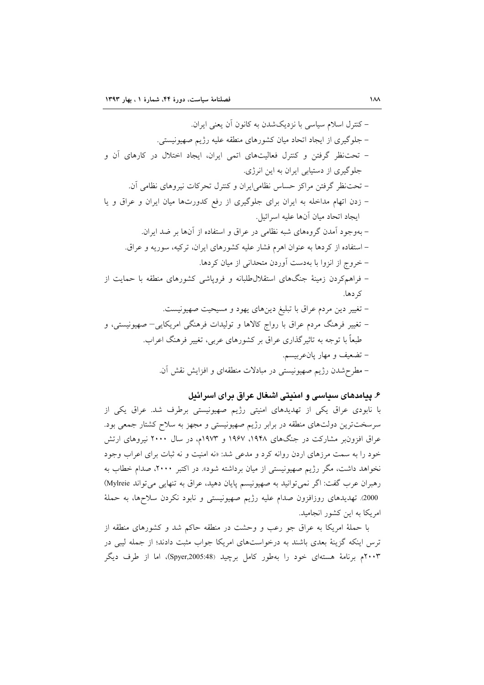## ۶. پیامدهای سیاسی و امنیتی اشغال عراق برای اسرائیل

با نابودی عراق یکی از تهدیدهای امنیتی رژیم صهیونیستی برطرف شد. عراق یکی از سرسختترین دولتهای منطقه در برابر رژیم صهیونیستی و مجهز به سلاح کشتار جمعی بود. عراق افزونبر مشارکت در جنگهای ۱۹۴۸، ۱۹۶۷ و ۱۹۷۳م، در سال ۲۰۰۰ نیروهای ارتش خود را به سمت مرزهای اردن روانه کرد و مدعی شد: «نه امنیت و نه ثبات برای اعراب وجود نخواهد داشت، مگر رژیم صهیونیستی از میان برداشته شود». در اکتبر ۲۰۰۰، صدام خطاب به رهبران عرب گفت: اگر نمی توانید به صهیونیسم پایان دهید، عراق به تنهایی می تواند Mylreie) 2000٪. تهديدهاي روزافزون صدام عليه رژيم صهيونيستي و نابود نكردن سلاحها، به حملهٔ امریکا به این کشور انجامید.

با حملهٔ امریکا به عراق جو رعب و وحشت در منطقه حاکم شد و کشورهای منطقه از ترس اینکه گزینهٔ بعدی باشند به درخواستهای امریکا جواب مثبت دادند؛ از جمله لیبی در ۲۰۰۳م برنامهٔ هستهای خود را بهطور کامل برچید (Spyer,2005:48)، اما از طرف دیگر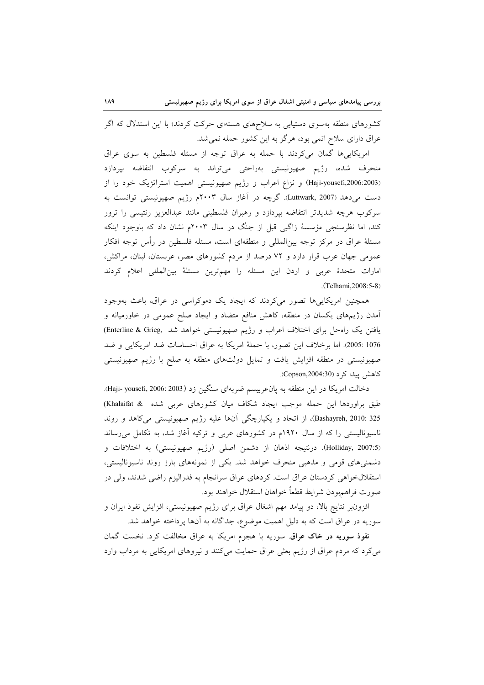کشورهای منطقه بهسوی دستیابی به سلاحهای هستهای حرکت کردند؛ با این استدلال که اگر عراق دارای سلاح اتمی بود، هرگز به این کشور حمله نمی شد.

امریکاییها گمان میکردند با حمله به عراق توجه از مسئله فلسطین به سوی عراق منحرف شده، رژیم صهیونیستی بهراحتی میتواند به سرکوب انتفاضه بپردازد (Haji-yousefi,2006:2003) و نزاع اعراب و رژیم صهیونیستی اهمیت استراتژیک خود را از دست میدهد (Luttwark, 2007). گرچه در آغاز سال ۲۰۰۳م رژیم صهیونیستی توانست به سرکوب هرچه شدیدتر انتفاضه بپردازد و رهبران فلسطینی مانند عبدالعزیز رنتیسی را ترور کند، اما نظرسنجی مؤسسهٔ زاگبی قبل از جنگ در سال ۲۰۰۳م نشان داد که باوجود اینکه مسئلهٔ عراق در مرکز توجه بین|لمللی و منطقهای است، مسئله فلسطین در رأس توجه افکار عمومی جهان عرب قرار دارد و ۷۲ درصد از مردم کشورهای مصر، عربستان، لبنان، مراکش، امارات متحدهٔ عربی و اردن این مسئله را مهمترین مسئلهٔ بینالمللی اعلام کردند .(Telhami, 2008: 5-8)

همچنین امریکاییها تصور میکردند که ایجاد یک دموکراسی در عراق، باعث بهوجود آمدن رژیمهای یکسان در منطقه، کاهش منافع متضاد و ایجاد صلح عمومی در خاورمیانه و یافتن یک راه حل برای اختلاف اعراب و رژیم صهیونیستی خواهد شد ,Enterline & Grieg 1076 :2005). اما برخلاف اين تصور، با حملة امريكا به عراق احساسات ضد امريكايي و ضد صهیونیستی در منطقه افزایش یافت و تمایل دولتهای منطقه به صلح با رژیم صهیونیستی کاهش پیدا کر د (Copson,2004:30).

دخالت امريكا در اين منطقه به پان عربيسم ضربهاي سنگين زد (Haji- yousefi, 2006: 2003). طبق براوردها این حمله موجب ایجاد شکاف میان کشورهای عربی شده & Khalaifat) Bashayreh, 2010: 325)، از اتحاد و یکپارچگی آنها علیه رژیم صهیونیستی می کاهد و روند ناسیونالیستی را که از سال ۱۹۲۰م در کشورهای عربی و ترکیه آغاز شد، به تکامل می<sub>ر</sub>ساند (Holliday, 2007:5). درنتيجه اذهان از دشمن اصلي (رژيم صهيونيستي) به اختلافات و دشمنیهای قومی و مذهبی منحرف خواهد شد. یکی از نمونههای بارز روند ناسیونالیستی، استقلالخواهی کردستان عراق است. کردهای عراق سرانجام به فدرالیزم راضی شدند، ولی در صورت فراهمبودن شرايط قطعاً خواهان استقلال خواهند بود.

افزون بر نتایج بالا، دو پیامد مهم اشغال عراق برای رژیم صهیونیستی، افزایش نفوذ ایران و سوریه در عراق است که به دلیل اهمیت موضوع، جداگانه به آنها پرداخته خواهد شد.

نفوذ سوریه در خاک عراق. سوریه با هجوم امریکا به عراق مخالفت کرد. نخست گمان می کرد که مردم عراق از رژیم بعثی عراق حمایت میکنند و نیروهای امریکایی به مرداب وارد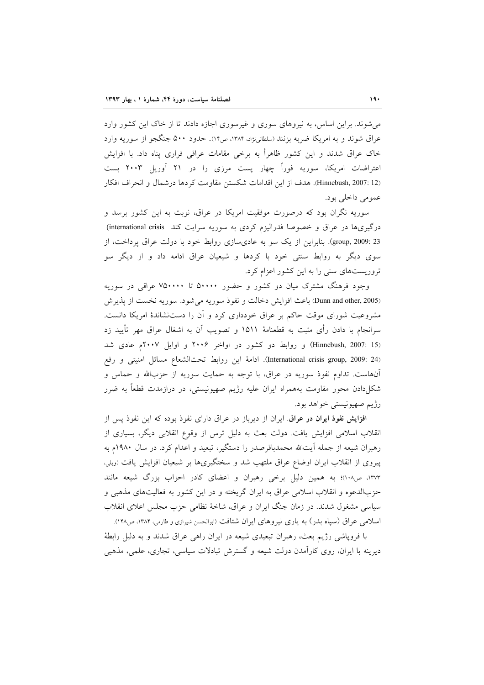می شوند. براین اساس، به نیروهای سوری و غیرسوری اجازه دادند تا از خاک این کشور وارد عراق شوند و به امریکا ضربه بزنند (سلطانینژاد، ۱۳۸۴، ص۱۴). حدود ۵۰۰ جنگجو از سوریه وارد خاک عراق شدند و این کشور ظاهراً به برخی مقامات عراقی فراری پناه داد. با افزایش اعتراضات امریکا، سوریه فوراً چهار یست مرزی را در ۲۱ آوریل ۲۰۰۳ بست (Hinnebush, 2007: 12. هدف از این اقدامات شکستن مقاومت کردها درشمال و انحراف افکار عمومي داخلي بود.

سوریه نگران بود که درصورت موفقیت امریکا در عراق، نوبت به این کشور برسد و درگیریها در عراق و خصوصا فدرالیزم کردی به سوریه سرایت کند international crisis) group, 2009: 23). بنابراین از یک سو به عادی سازی روابط خود با دولت عراق پرداخت، از سوی دیگر به روابط سنتی خود با کردها و شیعیان عراق ادامه داد و از دیگر سو تروریستهای سنی را به این کشور اعزام کرد.

وجود فرهنگ مشترک میان دو کشور و حضور ۵۰۰۰۰ تا ۷۵۰۰۰۰ عراقبی در سوریه (Dunn and other, 2005) باعث افزایش دخالت و نفوذ سوریه می شود. سوریه نخست از پذیرش مشروعیت شورای موقت حاکم بر عراق خودداری کرد و آن را دستنشاندهٔ امریکا دانست. سرانجام با دادن رأی مثبت به قطعنامهٔ ۱۵۱۱ و تصویب آن به اشغال عراق مهر تأیید زد (Hinnebush, 2007: 15) و روابط دو کشور در اواخر ۲۰۰۶ و اوایل ۲۰۰۷م عادی شد (International crisis group, 2009: 24). ادامهٔ این روابط تحتالشعاع مسائل امنیتی و رفع آنهاست. تداوم نفوذ سوریه در عراق، با توجه به حمایت سوریه از حزبالله و حماس و شکلدادن محور مقاومت بههمراه ایران علیه رژیم صهیونیستی، در درازمدت قطعاً به ضرر رژیم صهیونیستی خواهد بود.

افزایش نفوذ ایران در عراق ایران از دیرباز در عراق دارای نفوذ بوده که این نفوذ پس از انقلاب اسلامی افزایش یافت. دولت بعث به دلیل ترس از وقوع انقلابی دیگر، بسیاری از رهبران شیعه از جمله اّیتالله محمدباقرصدر را دستگیر، تبعید و اعدام کرد. در سال ۱۹۸۰م به پیروی از انقلاب ایران اوضاع عراق ملتهب شد و سختگیریها بر شیعیان افزایش یافت (ویلی، ۱۳۷۳، ص۱۰۸)؛ به همین دلیل برخی رهبران و اعضای کادر احزاب بزرگ شیعه مانند حزبالدعوه و انقلاب اسلامی عراق به ایران گریخته و در این کشور به فعالیتهای مذهبی و سیاسی مشغول شدند. در زمان جنگ ایران و عراق، شاخهٔ نظامی حزب مجلس اعلای انقلاب اسلامی عراق (سیاه بدر) به یاری نیروهای ایران شتافت (ابوالحسن شیرازی و طارمی، ۱۳۸۴، ص۱۴۸).

با فروپاشی رژیم بعث، رهبران تبعیدی شیعه در ایران راهی عراق شدند و به دلیل رابطهٔ دیرینه با ایران، روی کارآمدن دولت شیعه و گسترش تبادلات سیاسی، تجاری، علمی، مذهبی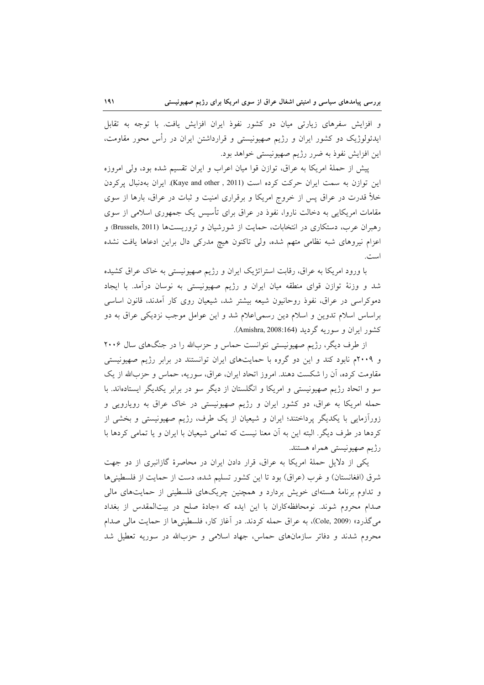و افزایش سفرهای زیارتی میان دو کشور نفوذ ایران افزایش یافت. با توجه به تقابل ایدئولوژیک دو کشور ایران و رژیم صهیونیستی و قرارداشتن ایران در رأس محور مقاومت، این افزایش نفوذ به ضرر رژیم صهیونیستی خواهد بود.

پیش از حملهٔ امریکا به عراق، توازن قوا میان اعراب و ایران تقسیم شده بود، ولی امروزه این توازن به سمت ایران حرکت کرده است (Kaye and other, 2011). ایران بهدنبال پرکردن خلأ قدرت در عراق پس از خروج امریکا و برقراری امنیت و ثبات در عراق، بارها از سوی مقامات امریکایی به دخالت ناروا، نفوذ در عراق برای تأسیس یک جمهوری اسلامی از سوی رهبران عرب، دستکاری در انتخابات، حمایت از شورشیان و تروریستها (Brussels, 2011) و اعزام نیروهای شبه نظامی متهم شده، ولی تاکنون هیچ مدرکی دال براین ادعاها یافت نشده است.

با ورود امریکا به عراق، رقابت استراتژیک ایران و رژیم صهیونیستی به خاک عراق کشیده شد و وزنهٔ توازن قوای منطقه میان ایران و رژیم صهیونیستی به نوسان درآمد. با ایجاد دموکراسی در عراق، نفوذ روحانیون شیعه بیشتر شد، شیعیان روی کار آمدند، قانون اساسی براساس اسلام تدوین و اسلام دین رسمیاعلام شد و این عوامل موجب نزدیکی عراق به دو کشور ایران و سوریه گردید (Amishra, 2008:164).

از طرف دیگر، رژیم صهیونیستی نتوانست حماس و حزبالله را در جنگهای سال ۲۰۰۶ و ۲۰۰۹م نابود کند و این دو گروه با حمایتهای ایران توانستند در برابر رژیم صهیونیستی مقاومت کرده، آن را شکست دهند. امروز اتحاد ایران، عراق، سوریه، حماس و حزبالله از یک سو و اتحاد رژیم صهیونیستی و امریکا و انگلستان از دیگر سو در برابر یکدیگر ایستادهاند. با حمله امریکا به عراق، دو کشور ایران و رژیم صهیونیستی در خاک عراق به رویارویی و زورآزمایی با یکدیگر پرداختند؛ ایران و شیعیان از یک طرف، رژیم صهیونیستی و بخشی از کردها در طرف دیگر. البته این به آن معنا نیست که تمامی شیعیان با ایران و یا تمامی کردها با رژیم صهیونیستی همراه هستند.

یکی از دلایل حملهٔ امریکا به عراق، قرار دادن ایران در محاصرهٔ گازانبری از دو جهت شرق (افغانستان) و غرب (عراق) بود تا این کشور تسلیم شده، دست از حمایت از فلسطینی ها و تداوم برنامهٔ هستهای خویش بردارد و همچنین چریکهای فلسطینی از حمایتهای مالی صدام محروم شوند. نومحافظه کاران با این ایده که «جادهٔ صلح در بیتالمقدس از بغداد مي گذرد» (Cole, 2009)، به عراق حمله كردند. در أغاز كار، فلسطيني ها از حمايت مالي صدام محروم شدند و دفاتر سازمانهای حماس، جهاد اسلامی و حزبالله در سوریه تعطیل شد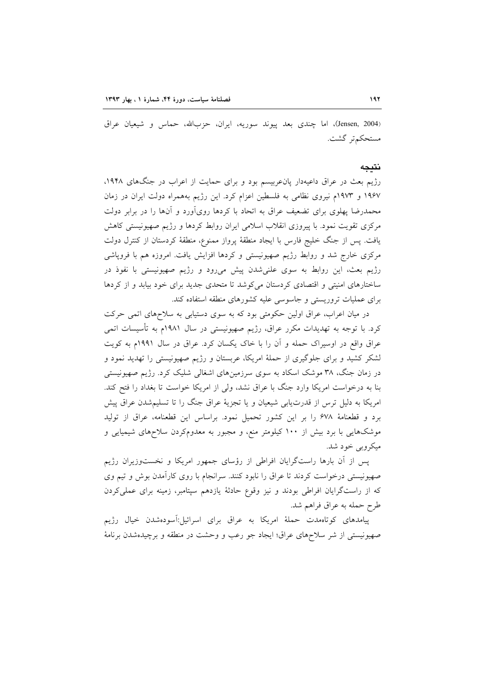(Jensen, 2004)، اما چندی بعد پیوند سوریه، ایران، حزبالله، حماس و شیعیان عراق مستحکم تر گشت.

#### نتىجە

رژیم بعث در عراق داعیهدار پانءربیسم بود و برای حمایت از اعراب در جنگهای ۱۹۴۸، ۱۹۶۷ و ۱۹۷۳م نیروی نظامی به فلسطین اعزام کرد. این رژیم بههمراه دولت ایران در زمان محمدرضا پهلوی برای تضعیف عراق به اتحاد با کردها رویآورد و آنها را در برابر دولت مرکزی تقویت نمود. با پیروزی انقلاب اسلامی ایران روابط کردها و رژیم صهیونیستی کاهش یافت. پس از جنگ خلیج فارس با ایجاد منطقهٔ پرواز ممنوع، منطقهٔ کردستان از کنترل دولت مرکزی خارج شد و روابط رژیم صهیونیستی و کردها افزایش یافت. امروزه هم با فروپاشی رژیم بعث، این روابط به سوی علنیشدن پیش میرود و رژیم صهیونیستی با نفوذ در ساختارهای امنیتی و اقتصادی کردستان می کوشد تا متحدی جدید برای خود بیابد و از کردها برای عملیات تروریستی و جاسوسی علیه کشورهای منطقه استفاده کند.

در میان اعراب، عراق اولین حکومتی بود که به سوی دستیابی به سلاحهای اتمی حرکت کرد. با توجه به تهدیدات مکرر عراق، رژیم صهیونیستی در سال ۱۹۸۱م به تأسیسات اتمی عراق واقع در اوسیراک حمله و آن را با خاک یکسان کرد. عراق در سال ۱۹۹۱م به کویت لشکر کشید و برای جلوگیری از حملهٔ امریکا، عربستان و رژیم صهیونیستی را تهدید نمود و در زمان جنگ، ۳۸ موشک اسکاد به سوی سرزمینهای اشغالی شلیک کرد. رژیم صهیونیستی بنا به درخواست امریکا وارد جنگ با عراق نشد، ولی از امریکا خواست تا بغداد را فتح کند. امریکا به دلیل ترس از قدرتیابی شیعیان و یا تجزیهٔ عراق جنگ را تا تسلیمشدن عراق پیش برد و قطعنامهٔ ۶۷۸ را بر این کشور تحمیل نمود. براساس این قطعنامه، عراق از تولید موشکهایی با برد بیش از ۱۰۰ کیلومتر منع، و مجبور به معدومکردن سلاحهای شیمیایی و ميكروبي خود شد.

پس از آن بارها راستگرایان افراطی از رؤسای جمهور امریکا و نخستوزیران رژیم صهیونیستی درخواست کردند تا عراق را نابود کنند. سرانجام با روی کارآمدن بوش و تیم وی که از راستگرایان افراطی بودند و نیز وقوع حادثهٔ یازدهم سپتامبر، زمینه برای عملیکردن طرح حمله به عراق فراهم شد.

پیامدهای کوتاهمدت حملهٔ امریکا به عراق برای اسرائیل:آسودهشدن خیال رژیم صهیونیستی از شر سلاحهای عراق؛ ایجاد جو رعب و وحشت در منطقه و برچیدهشدن برنامهٔ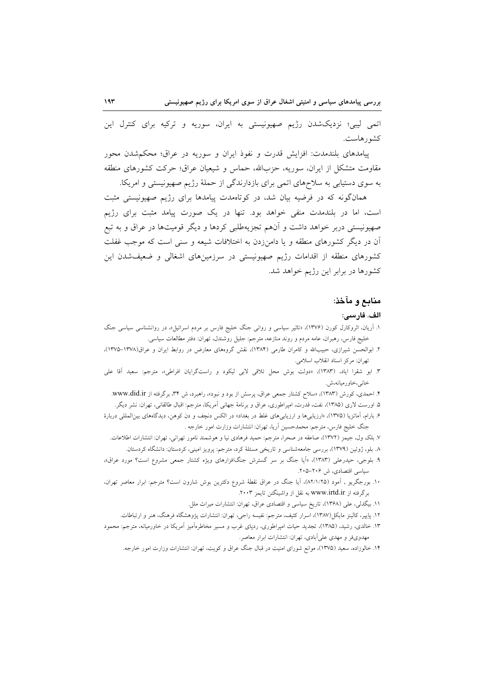اتمی لیبی؛ نزدیکشدن رژیم صهیونیستی به ایران، سوریه و ترکیه برای کنترل این کشورهاست.

پیامدهای بلندمدت: افزایش قدرت و نفوذ ایران و سوریه در عراق؛ محکمشدن محور مقاومت متشکل از ایران، سوریه، حزبالله، حماس و شیعیان عراق؛ حرکت کشورهای منطقه به سوی دستیابی به سلاحهای اتمی برای بازدارندگی از حملهٔ رژیم صهیونیستی و امریکا.

همانگونه که در فرضیه بیان شد، در کوتاهمدت پیامدها برای رژیم صهیونیستی مثبت است، اما در بلندمدت منفی خواهد بود. تنها در یک صورت پیامد مثبت برای رژیم صهیونیستی دربر خواهد داشت و آنهم تجزیهطلبی کردها و دیگر قومیتها در عراق و به تبع آن در دیگر کشورهای منطقه و یا دامنزدن به اختلافات شیعه و سنی است که موجب غفلت کشورهای منطقه از اقدامات رژیم صهیونیستی در سرزمینهای اشغالی و ضعیفشدن این کشورها در برابر این رژیم خواهد شد.

## منابع و مآخذ:

#### الف. فارسى:

- ۱. اَریان، اثروکارل کورن (۱۳۷۶)، «تاثیر سیاسی و روانی جنگ خلیج فارس بر مردم اسرائیل»، در روانشناسی سیاسی جنگ خلیج فارس، رهبران، عامه مردم و روند منازعه، مترجم: جلیل روشندل، تهران: دفتر مطالعات سیاسی.
- ۲. ابوالحسن شیرازی، حبیبالله و کامران طارمی (۱۳۸۴)، نقش گروههای معارض در روابط ایران و عراق(۱۳۷۸–۱۳۷۵)، تهران: مركز اسناد انقلاب اسلامي.
- ۳. ابو شقرا ایاد، (۱۳۸۳)، «دولت بوش محل تلاقی لابی لیکود و راستگرایان افراطی»، مترجم: سعید آقا علی خاني،خاورميانه،ش.
	- ۴. احمدی، کورش (۱۳۸۳)، «سلاح کشتار جمعی عراق، پرسش از بود و نبود»، راهبرد، ش ۳۴، برگرفته از www.did.ir.
	- ۵. اورست لاری (۱۳۸۵)، نفت، قدرت، امپراطوری، عراق و برنامهٔ جهانی آمریکا، مترجم: اقبال طالقانی، تهران: نشر دیگر.
- ۶. بارام، آماتزیا (۱۳۷۵)، «ارزیابی ها و ارزیابی های غلط در بغداد» در الکس دنچف و دن کوهن، دیدگاههای بینالمللی دربارهٔ جنگ خلیج فارس، مترجم: محمدحسین اَریا، تهران: انتشارات وزارت امور خارجه .
	- ٧. بلک ول، جیمز (١٣٧٢)، صاعقه در صحرا، مترجم: حمید فرهادی نیا و هوشمند نامور تهرانی، تهران: انتشارات اطلاعات. ٨. بلو، ژوئین (١٣٧٩)، بررسی جامعهشناسی و تاریخی مسئلهٔ کرد، مترجم: پرویز امینی، کردستان: دانشگاه کردستان.
- ۹. بلوجی، حیدرعلی (۱۳۸۳)، «اَیا جنگ بر سر گسترش جنگافزارهای ویژه کشتار جمعی مشروع است؟ مورد عراق»، سیاسی اقتصادی، ش ۲۰۶–۲۰۵.
- ۱۰. بورجگریو , آمود (۸۲/۱/۲۵)، آیا جنگ در عراق نقطهٔ شروع دکترین بوش شارون است؟ مترجم: ابرار معاصر تهران، برگرفته از www.irtd.ir به نقل از واشینگتن تایمز ۲۰۰۳.
	- ١١. بيگدلي، على (١٣۶٨)، تاريخ سياسي و اقتصادي عراق، تهران: انتشارات ميراث ملل.
	- ۱۲. پاِیپر، کالینز مایکل(۱۳۸۷)، اسرار کثیف، مترجم: نفیسه راجی، تهران: انتشارات پژوهشگاه فرهنگ، هنر و ارتباطات.
- ۱۳. خالدی، رشید، (۱۳۸۵)، تجدید حیات امپراطوری، ردپای غرب و مسیر مخاطرهآمیز آمریکا در خاورمیانه، مترجم: محمود مهدوی فر و مهدی علی آبادی، تهران: انتشارات ابرار معاصر.
	- ۱۴. خالوزاده، سعید (۱۳۷۵)، موانع شورای امنیت در قبال جنگ عراق و کویت، تهران: انتشارات وزارت امور خارجه.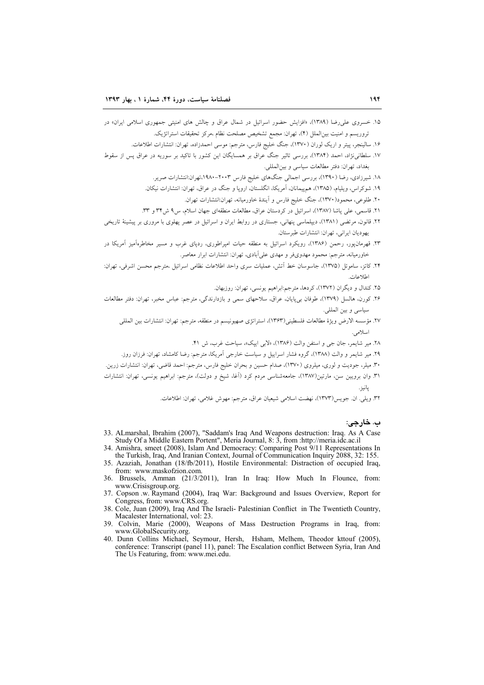- ۱۵. خسروی عل<sub>ما</sub>رضا (۱۳۸۹)، «افزایش حضور اسرائیل در شمال عراق و چالش های امنیتی جمهوری اسلامی ایران» در تروريسم و امنيت بين|لملل (۴)، تهران: مجمع تشخيص مصلحت نظام ،مركز تحقيقات استراتژيک.
	- ۱۶. سالینجر، پیتر و اریک لوران (۱۳۷۰)، جنگ خلیج فارس، مترجم: موسی احمدزاده، تهران: انتشارات اطلاعات.
- ۱۷. سلطانی $\zeta$ اد، احمد (۱۳۸۴)، بررسی تاثیر جنگ عراق بر همسایگان این کشور با تاکید بر سوریه در عراق پس از سقوط بغداد، تهران: دفتر مطالعات سياسي و بين المللي.
	- ۱۸. شیرزادی، رضا (۱۳۹۰)، بررسی اجمالی جنگهای خلیج فارس ۲۰۰۳–۱۹۸۰،تهران:انتشارات صریر.
	- ۱۹. شوکراس، ویلیام، (۱۳۸۵)، همهیمانان، اَمریکا، انگلستان، اروپا و جنگ در عراق، تهران: انتشارات نیکان.
		- ۲۰. طلوعی، محمود(۱۳۷۰)، جنگ خلیج فارس و آیندهٔ خاورمیانه، تهران:انتشارات تهران.
	- ٢١. قاسمي، علي ياشا (١٣٨٧)، اسرائيل در كردستان عراق، مطالعات منطقهاي جهان اسلام، س٩ ش٣٣ و ٣٣.
- ۲۲. قانون، مرتضی (۱۳۸۱)، دیپلماسی پنهانی، جستاری در روابط ایران و اسرائیل در عصر یهلوی با مروری بر پیشینهٔ تاریخی يهو ديان ايراني، تهران: انتشارات طبر ستان.
- ۲۳. قهرمان،پور، رحمن (۱۳۸۶)، رویکرد اسرائیل به منطقه حیات امپراطوری، ردپای غرب و مسیر مخاطرهآمیز آمریکا در خاورمیانه، مترجم: محمود مهدویفر و مهدی علیآبادی، تهران: انتشارات ابرار معاصر.
- ٢۴. كاتز، ساموئل (١٣٧۵)، جاسوسان خط آتش، عمليات سرى واحد اطلاعات نظامى اسرائيل ،مترجم محسن اشرفى، تهران: اطلاعات.
	- ۲۵. کندال و دیگران (۱۳۷۲)، کردها، مترجم:ابراهیم یونسی، تهران: روزبهان.
- ۲۶. کورن، هالسل (۱۳۷۹)، طوفان بی2پایان، عراق، سلاحهای سمی و بازدارندگی، مترجم: عباس مخبر، تهران: دفتر مطالعات سياسي وبين المللي.
	- .<br>٢٧. مؤسسه الارض ويژهٔ مطالعات فلسطيني(١٣۶٣)، استراتژی صهيونيسم در منطقه، مترجم: تهران: انتشارات بين المللي اسلامی
		- ۲۸. میر شایمر، جان جی و استفن والت (۱۳۸۶)، «لابی ایپک»، سیاحت غرب، ش ۴۱.
	- ۲۹. میر شایمر و والت (۱۳۸۸)، گروه فشار اسراییل و سیاست خارجی آمریکا، مترجم: رضا کامشاد، تهران: فرزان روز.
- ۳۰. میلر، جودیت و لوری، میلروی (۱۳۷۰)، صدام حسین و بحران خلیج فارس، مترجم: احمد قاضی، تهران: انتشارات زرین.
- ۳۱. وان برویین سن، مارتین(۱۳۸۷)، جامعهشناسی مردم کرد (اَغا، شیخ و دولت)، مترجم: ابراهیم یونسی، تهران: انتشارات يانيز .
	- ۳۲. ویلی. ان. جویس(۱۳۷۳)، نهضت اسلامی شیعیان عراق، مترجم: مهوش غلامی، تهران: اطلاعات.

ب. خارجي:

- 33. ALmarshal, Ibrahim (2007), "Saddam's Iraq And Weapons destruction: Iraq. As A Case Study Of a Middle Eastern Portent", Meria Journal, 8: 3, from :http://meria.idc.ac.il
- 34. Amishra, smeet (2008), Islam And Democracy: Comparing Post 9/11 Representations In the Turkish, Iraq, And Iranian Context, Journal of Communication Inquiry 2088, 32: 155.
- 35. Azaziah, Jonathan (18/fb/2011), Hostile Environmental: Distraction of occupied Iraq, from: www.maskofzion.com.
- 36. Brussels, Amman (21/3/2011), Iran In Iraq: How Much In Flounce, from: www.Crisisgroup.org.
- 37. Copson .w. Raymand (2004), Iraq War: Background and Issues Overview, Report for Congress, from: www.CRS.org.
- 38. Cole, Juan (2009), Iraq And The Israeli- Palestinian Conflict in The Twentieth Country, Macalester International, vol: 23.
- 39. Colvin, Marie (2000), Weapons of Mass Destruction Programs in Iraq, from: www.GlobalSecurity.org.
- 40. Dunn Collins Michael, Seymour, Hersh, Hsham, Melhem, Theodor kttouf (2005). conference: Transcript (panel 11), panel: The Escalation conflict Between Syria, Iran And The Us Featuring, from: www.mei.edu.